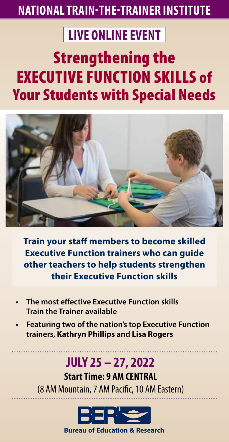### **NATIONAL TRAIN-THE-TRAINER INSTITUTE**

### **LIVE ONLINE EVENT**

### Strengthening the EXECUTIVE FUNCTION SKILLS of Your Students with Special Needs



**Train your staff members to become skilled Executive Function trainers who can guide other teachers to help students strengthen their Executive Function skills**

- **The most effective Executive Function skills Train the Trainer available**
- **• Featuring two of the nation's top Executive Function trainers, Kathryn Phillips and Lisa Rogers**

### **JULY 25 – 27, 2022**

**Start Time: 9 AM CENTRAL** (8 AM Mountain, 7 AM Pacific, 10 AM Eastern)



**1-800-735-3503 | Register, www.ber.org | FAX: 1-425-453-453-453-1134 | FOR more information, or to register, p**<br>1-425-453-1144 | Fax: 1-425-1144 | Fax: 1-425-1144 | Fax: 1-425-1145 | Fax: 1-425-1145 | Fax: 1-425-1145 | Fa **Bureau of Education & Research**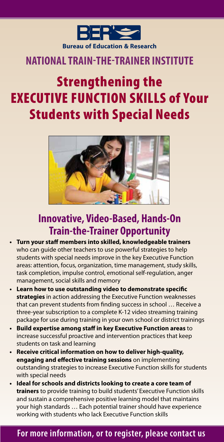

### **NATIONAL TRAIN-THE-TRAINER INSTITUTE**

### Strengthening the EXECUTIVE FUNCTION SKILLS of Your Students with Special Needs



### **Innovative, Video-Based, Hands-On Train-the-Trainer Opportunity**

- **•** Turn your staff members into skilled, knowledgeable trainers who can guide other teachers to use powerful strategies to help students with special needs improve in the key Executive Function areas: attention, focus, organization, time management, study skills, task completion, impulse control, emotional self-regulation, anger management, social skills and memory
- **•** Learn how to use outstanding video to demonstrate specific **strategies** in action addressing the Executive Function weaknesses that can prevent students from finding success in school ... Receive a three-year subscription to a complete K-12 video streaming training package for use during training in your own school or district trainings
- **•** Build expertise among staff in key Executive Function areas to increase successful proactive and intervention practices that keep students on task and learning
- **• Receive critical information on how to deliver high-quality, engaging and effective training sessions** on implementing outstanding strategies to increase Executive Function skills for students with special needs
- **• Ideal for schools and districts looking to create a core team of trainers** to provide training to build students' Executive Function skills and sustain a comprehensive positive learning model that maintains your high standards … Each potential trainer should have experience working with students who lack Executive Function skills

### **1-800-735-3503 | Reg online: www.ber.org | FAX: 1-425-453-1134 For more information, or to register, please contact us**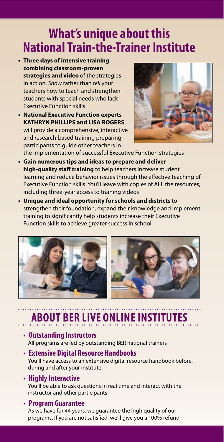### **What's unique about this National Train-the-Trainer Institute**

- **• Three days of intensive training combining classroom-proven strategies and video** of the strategies in action. *Show* rather than *tell* your teachers how to teach and strengthen students with special needs who lack Executive Function skills
- **• National Executive Function experts KATHRYN PHILLIPS and LISA ROGERS** will provide a comprehensive, interactive and research-based training preparing participants to guide other teachers in



the implementation of successful Executive Function strategies **• Gain numerous tips and ideas to prepare and deliver**  high-quality staff training to help teachers increase student

learning and reduce behavior issues through the effective teaching of Executive Function skills. You'll leave with copies of ALL the resources, including three-year access to training videos

**• Unique and ideal opportunity for schools and districts** to strengthen their foundation, expand their knowledge and implement training to significantly help students increase their Executive Function skills to achieve greater success in school



### **ABOUT BER LIVE ONLINE INSTIT**

- **• Outstanding Instructors** All programs are led by outstanding BER national trainers
- **• Extensive Digital Resource Handbooks** You'll have access to an extensive digital resource handbook before, during and after your institute
- **• Highly Interactive** You'll be able to ask questions in real time and interact with the instructor and other participants

### **• Program Guarantee**

As we have for 44 years, we guarantee the high quality of our programs. If you are not satisfied, we'll give you a 100% refund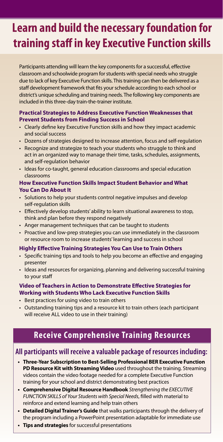### **Learn and build the necessary foundation for training staff in key Executive Function skills**

Participants attending will learn the key components for a successful, effective classroom and schoolwide program for students with special needs who struggle due to lack of key Executive Function skills. This training can then be delivered as a staff development framework that fits your schedule according to each school or district's unique scheduling and training needs. The following key components are included in this three-day train-the-trainer institute.

### **Practical Strategies to Address Executive Function Weaknesses that Prevent Students from Finding Success in School**

- Clearly define key Executive Function skills and how they impact academic and social success
- Dozens of strategies designed to increase attention, focus and self-regulation
- Recognize and strategize to teach your students who struggle to think and act in an organized way to manage their time, tasks, schedules, assignments, and self-regulation behavior
- Ideas for co-taught, general education classrooms and special education classrooms

### **How Executive Function Skills Impact Student Behavior and What You Can Do About It**

- Solutions to help your students control negative impulses and develop self-regulation skills
- Effectively develop students' ability to learn situational awareness to stop, think and plan before they respond negatively
- Anger management techniques that can be taught to students
- Proactive and low-prep strategies you can use immediately in the classroom or resource room to increase students' learning and success in school

### **Highly Effective Training Strategies You Can Use to Train Others**

- Specific training tips and tools to help you become an effective and engaging presenter
- Ideas and resources for organizing, planning and delivering successful training to your sta

### **Video of Teachers in Action to Demonstrate Effective Strategies for Working with Students Who Lack Executive Function Skills**

- Best practices for using video to train others
- Outstanding training tips and a resource kit to train others (each participant will receive ALL video to use in their training)

### **Receive Comprehensive Training Resources**

### **All participants will receive a valuable package of resources including:**

- **• Three-Year Subscription to Best-Selling Professional BER Executive Function PD Resource Kit with Streaming Video** used throughout the training. Streaming videos contain the video footage needed for a complete Executive Function training for your school and district demonstrating best practices
- **• Comprehensive Digital Resource Handbook** *Strengthening the EXECUTIVE*  **FUNCTION SKILLS of Your Students with Special Needs, filled with material to** reinforce and extend learning and help train others
- **• Detailed Digital Trainer's Guide** that walks participants through the delivery of the program including a PowerPoint presentation adaptable for immediate use
- **• Tips and strategies** for successful presentations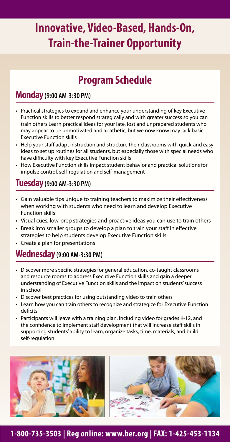### **Innovative, Video-Based, Hands-On, Train-the-Trainer Opportunity**

### **Program Schedule**

### **Monday(9:00 AM-3:30 PM)**

- Practical strategies to expand and enhance your understanding of key Executive Function skills to better respond strategically and with greater success so you can train others Learn practical ideas for your late, lost and unprepared students who may appear to be unmotivated and apathetic, but we now know may lack basic Executive Function skills
- Help your staff adapt instruction and structure their classrooms with quick-and easy ideas to set up routines for all students, but especially those with special needs who have difficulty with key Executive Function skills
- How Executive Function skills impact student behavior and practical solutions for impulse control, self-regulation and self-management

### **Tuesday(9:00 AM-3:30 PM)**

- Gain valuable tips unique to training teachers to maximize their effectiveness when working with students who need to learn and develop Executive Function skills
- Visual cues, low-prep strategies and proactive ideas you can use to train others
- Break into smaller groups to develop a plan to train your staff in effective strategies to help students develop Executive Function skills
- Create a plan for presentations

### **Wednesday (9:00 AM-3:30 PM)**

- Discover more specific strategies for general education, co-taught classrooms and resource rooms to address Executive Function skills and gain a deeper understanding of Executive Function skills and the impact on students' success in school
- Discover best practices for using outstanding video to train others
- Learn how you can train others to recognize and strategize for Executive Function deficits
- Participants will leave with a training plan, including video for grades K-12, and the confidence to implement staff development that will increase staff skills in supporting students' ability to learn, organize tasks, time, materials, and build self-regulation





### **1-800-735-3503 | Reg online: www.ber.org | FAX: 1-425-453-1134**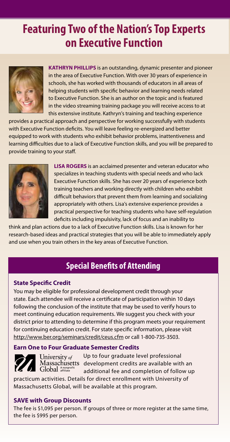### **Featuring Two of the Nation's Top Experts on Executive Function**



**KATHRYN PHILLIPS** is an outstanding, dynamic presenter and pioneer in the area of Executive Function. With over 30 years of experience in schools, she has worked with thousands of educators in all areas of helping students with specific behavior and learning needs related to Executive Function. She is an author on the topic and is featured in the video streaming training package you will receive access to at this extensive institute. Kathryn's training and teaching experience

provides a practical approach and perspective for working successfully with students with Executive Function deficits. You will leave feeling re-energized and better equipped to work with students who exhibit behavior problems, inattentiveness and learning difficulties due to a lack of Executive Function skills, and you will be prepared to provide training to your staff.



**LISA ROGERS** is an acclaimed presenter and veteran educator who specializes in teaching students with special needs and who lack Executive Function skills. She has over 20 years of experience both training teachers and working directly with children who exhibit difficult behaviors that prevent them from learning and socializing appropriately with others. Lisa's extensive experience provides a practical perspective for teaching students who have self-regulation deficits including impulsivity, lack of focus and an inability to

think and plan actions due to a lack of Executive Function skills. Lisa is known for her research-based ideas and practical strategies that you will be able to immediately apply and use when you train others in the key areas of Executive Function.

### **Special Benefits of Attending**

### **State Specific Credit**

You may be eligible for professional development credit through your state. Each attendee will receive a certificate of participation within 10 days following the conclusion of the institute that may be used to verify hours to meet continuing education requirements. We suggest you check with your district prior to attending to determine if this program meets your requirement for continuing education credit. For state specific information, please visit http://www.ber.org/seminars/credit/ceus.cfm or call 1-800-735-3503.

### **Earn One to Four Graduate Semester Credits**



University of Global Anonprofit

 Up to four graduate level professional Massachusetts development credits are available with an additional fee and completion of follow up

practicum activities. Details for direct enrollment with University of Massachusetts Global, will be available at this program.

### **SAVE with Group Discounts**

The fee is \$1,095 per person. If groups of three or more register at the same time, the fee is \$995 per person.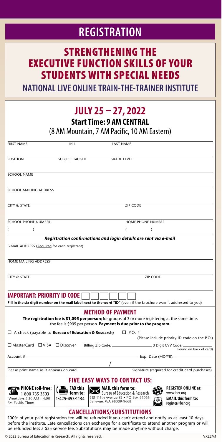### **REGISTRATION**

### STRENGTHENING THE EXECUTIVE FUNCTION SKILLS OF YOUR STUDENTS WITH SPECIAL NEEDS

**NATIONAL LIVE ONLINE TRAIN-THE-TRAINER INSTITUTE**

### **JULY 25 – 27, 2022**

**Start Time: 9 AM CENTRAL** 

(8 AM Mountain, 7 AM Pacific, 10 AM Eastern)

| <b>FIRST NAME</b>                                                                                                                                                                                                   | M.I.                                                             | <b>LAST NAME</b>                                                                                                                       |
|---------------------------------------------------------------------------------------------------------------------------------------------------------------------------------------------------------------------|------------------------------------------------------------------|----------------------------------------------------------------------------------------------------------------------------------------|
| <b>POSITION</b>                                                                                                                                                                                                     | SUBJECT TAUGHT                                                   | <b>GRADE LEVEL</b>                                                                                                                     |
| <b>SCHOOL NAME</b>                                                                                                                                                                                                  |                                                                  |                                                                                                                                        |
|                                                                                                                                                                                                                     |                                                                  |                                                                                                                                        |
| SCHOOL MAILING ADDRESS                                                                                                                                                                                              |                                                                  |                                                                                                                                        |
| CITY & STATE                                                                                                                                                                                                        |                                                                  | <b>ZIP CODE</b>                                                                                                                        |
| <b>SCHOOL PHONE NUMBER</b>                                                                                                                                                                                          |                                                                  | HOME PHONE NUMBER                                                                                                                      |
| $\lambda$                                                                                                                                                                                                           |                                                                  | (<br>$\lambda$                                                                                                                         |
|                                                                                                                                                                                                                     |                                                                  | Registration confirmations and login details are sent via e-mail                                                                       |
| E-MAIL ADDRESS (Required for each registrant)                                                                                                                                                                       |                                                                  |                                                                                                                                        |
|                                                                                                                                                                                                                     |                                                                  |                                                                                                                                        |
| HOME MAILING ADDRESS                                                                                                                                                                                                |                                                                  |                                                                                                                                        |
| CITY & STATE                                                                                                                                                                                                        |                                                                  | <b>ZIP CODE</b>                                                                                                                        |
|                                                                                                                                                                                                                     |                                                                  |                                                                                                                                        |
| <b>IMPORTANT: PRIORITY ID CODE</b>                                                                                                                                                                                  |                                                                  |                                                                                                                                        |
| Fill in the six digit number on the mail label next to the word "ID" (even if the brochure wasn't addressed to you)                                                                                                 |                                                                  |                                                                                                                                        |
|                                                                                                                                                                                                                     |                                                                  | METHOD OF PAYMENT                                                                                                                      |
| The registration fee is \$1,095 per person; for groups of 3 or more registering at the same time,<br>the fee is \$995 per person. Payment is due prior to the program.                                              |                                                                  |                                                                                                                                        |
|                                                                                                                                                                                                                     |                                                                  | $\Box$ A check (payable to <b>Bureau of Education &amp; Research</b> ) $\Box$ P.O. # $\Box$                                            |
| □ MasterCard □ VISA □ Discover                                                                                                                                                                                      |                                                                  | (Please include priority ID code on the P.O.)                                                                                          |
|                                                                                                                                                                                                                     |                                                                  | (Found on back of card)                                                                                                                |
| Account # __                                                                                                                                                                                                        |                                                                  |                                                                                                                                        |
| Please print name as it appears on card                                                                                                                                                                             |                                                                  | Signature (required for credit card purchases)                                                                                         |
| <b>FIVE EASY WAYS TO CONTACT US:</b>                                                                                                                                                                                |                                                                  |                                                                                                                                        |
|                                                                                                                                                                                                                     | $E$ FAX this                                                     | <b>REGISTER ONLINE at:</b><br><b>MAIL this form to:</b>                                                                                |
| ▶ PHONE toll-free:<br>$\frac{444}{1-800}$ -735-3503                                                                                                                                                                 | $\begin{matrix} \begin{matrix}\end{matrix}\end{matrix}$ form to: | 灓<br>Bureau of Education & Research<br>www.ber.org                                                                                     |
| (Weekdays 5:30 AM - 4:00<br>PM Pacific Time)                                                                                                                                                                        | 1-425-453-1134                                                   | 915 118th Avenue SE . PO Box 96068<br><b>EMAIL this form to:</b><br>$\circledcirc$<br>Bellevue, WA 98009-9668<br>register@ber.org<br>y |
|                                                                                                                                                                                                                     |                                                                  | <b>CANCELLATIONS/SUBSTITUTIONS</b>                                                                                                     |
| 100% of your paid registration fee will be refunded if you can't attend and notify us at least 10 days<br>before the institute. Late cancellations can exchange for a certificate to attend another program or will |                                                                  |                                                                                                                                        |
| be refunded less a \$35 service fee. Substitutions may be made anytime without charge.                                                                                                                              |                                                                  |                                                                                                                                        |

© 2022 Bureau of Education & Research. All rights reserved. VXE2M1